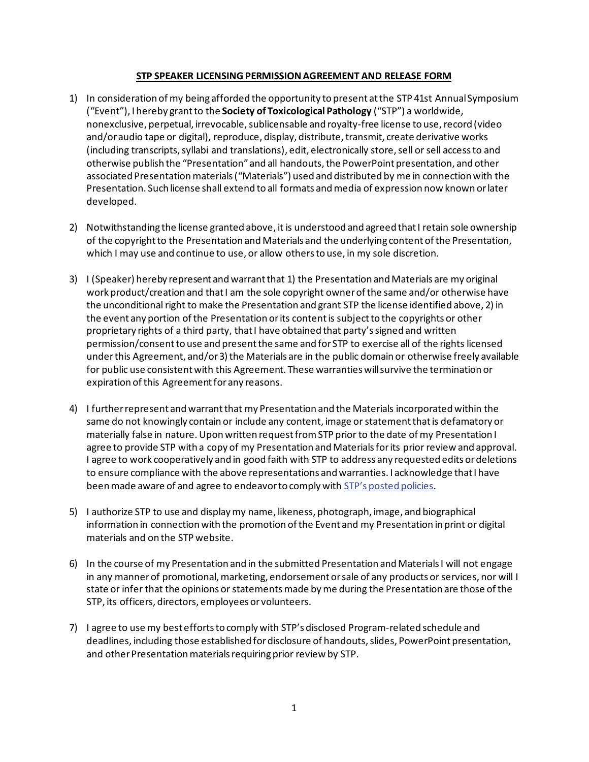## **STP SPEAKER LICENSING PERMISSION AGREEMENT AND RELEASE FORM**

- 1) In consideration of my being afforded the opportunity to present at the STP 41st AnnualSymposium ("Event"), I hereby grant to the **Society of Toxicological Pathology** ("STP") a worldwide, nonexclusive, perpetual, irrevocable, sublicensable and royalty-free license to use, record (video and/or audio tape or digital), reproduce, display, distribute, transmit, create derivative works (including transcripts, syllabi and translations), edit, electronically store, sell or sell access to and otherwise publish the "Presentation" and all handouts, the PowerPoint presentation, and other associated Presentation materials ("Materials") used and distributed by me in connection with the Presentation. Such license shall extend to all formats and media of expression now known or later developed.
- 2) Notwithstanding the license granted above, it is understood and agreed that I retain sole ownership of the copyright to the Presentation and Materials and the underlying content of the Presentation, which I may use and continue to use, or allow others to use, in my sole discretion.
- 3) I (Speaker) hereby represent and warrant that 1) the Presentation and Materials are my original work product/creation and that I am the sole copyright owner of the same and/or otherwise have the unconditional right to make the Presentation and grant STP the license identified above, 2) in the event any portion of the Presentation or its contentis subject to the copyrights or other proprietary rights of a third party, that I have obtained that party's signed and written permission/consent to use and present the same and for STP to exercise all of the rights licensed under this Agreement, and/or 3) the Materials are in the public domain or otherwise freely available for public use consistent with this Agreement. These warranties will survive the termination or expiration of this Agreement for any reasons.
- 4) I further represent and warrantthat my Presentation and the Materials incorporated within the same do not knowingly contain or include any content, image or statementthat is defamatory or materially false in nature. Upon written request from STP prior to the date of my Presentation I agree to provide STP with a copy of my Presentation and Materials for its prior review and approval. I agree to work cooperatively and in good faith with STP to address any requested edits or deletions to ensure compliance with the above representations and warranties. I acknowledge that I have been made aware of and agree to endeavor to comply with [STP's posted policies.](https://www.toxpath.org/privacy_policy.asp#nondisc)
- 5) I authorize STP to use and display my name, likeness, photograph, image, and biographical information in connection with the promotion of the Event and my Presentation in print or digital materials and on the STP website.
- 6) In the course of my Presentation and in the submitted Presentation and Materials I will not engage in any manner of promotional, marketing, endorsement or sale of any products or services, nor will I state or infer that the opinions or statements made by me during the Presentation are those of the STP, its officers, directors, employees or volunteers.
- 7) I agree to use my best efforts to comply with STP's disclosed Program-related schedule and deadlines, including those established for disclosure of handouts, slides, PowerPoint presentation, and other Presentation materials requiring prior review by STP.